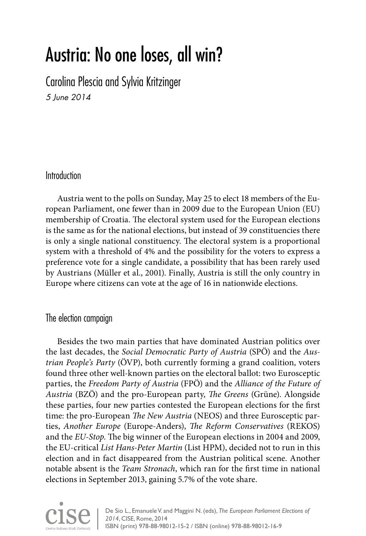# Austria: No one loses, all win?

Carolina Plescia and Sylvia Kritzinger *5 June 2014*

# Introduction

Austria went to the polls on Sunday, May 25 to elect 18 members of the European Parliament, one fewer than in 2009 due to the European Union (EU) membership of Croatia. The electoral system used for the European elections is the same as for the national elections, but instead of 39 constituencies there is only a single national constituency. The electoral system is a proportional system with a threshold of 4% and the possibility for the voters to express a preference vote for a single candidate, a possibility that has been rarely used by Austrians (Müller et al., 2001). Finally, Austria is still the only country in Europe where citizens can vote at the age of 16 in nationwide elections.

### The election campaign

Besides the two main parties that have dominated Austrian politics over the last decades, the *Social Democratic Party of Austria* (SPÖ) and the *Austrian People's Party* (ÖVP), both currently forming a grand coalition, voters found three other well-known parties on the electoral ballot: two Eurosceptic parties, the *Freedom Party of Austria* (FPÖ) and the *Alliance of the Future of Austria* (BZÖ) and the pro-European party, *The Greens* (Grüne). Alongside these parties, four new parties contested the European elections for the first time: the pro-European *The New Austria* (NEOS) and three Eurosceptic parties, *Another Europe* (Europe-Anders), *The Reform Conservatives* (REKOS) and the *EU-Stop*. The big winner of the European elections in 2004 and 2009, the EU-critical *List Hans-Peter Martin* (List HPM), decided not to run in this election and in fact disappeared from the Austrian political scene. Another notable absent is the *Team Stronach*, which ran for the first time in national elections in September 2013, gaining 5.7% of the vote share.

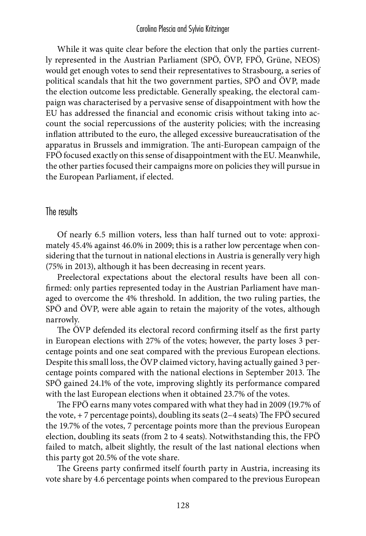While it was quite clear before the election that only the parties currently represented in the Austrian Parliament (SPÖ, ÖVP, FPÖ, Grüne, NEOS) would get enough votes to send their representatives to Strasbourg, a series of political scandals that hit the two government parties, SPÖ and ÖVP, made the election outcome less predictable. Generally speaking, the electoral campaign was characterised by a pervasive sense of disappointment with how the EU has addressed the financial and economic crisis without taking into account the social repercussions of the austerity policies; with the increasing inflation attributed to the euro, the alleged excessive bureaucratisation of the apparatus in Brussels and immigration. The anti-European campaign of the FPÖ focused exactly on this sense of disappointment with the EU. Meanwhile, the other parties focused their campaigns more on policies they will pursue in the European Parliament, if elected.

## The results

Of nearly 6.5 million voters, less than half turned out to vote: approximately 45.4% against 46.0% in 2009; this is a rather low percentage when considering that the turnout in national elections in Austria is generally very high (75% in 2013), although it has been decreasing in recent years.

Preelectoral expectations about the electoral results have been all confirmed: only parties represented today in the Austrian Parliament have managed to overcome the 4% threshold. In addition, the two ruling parties, the SPÖ and ÖVP, were able again to retain the majority of the votes, although narrowly.

The ÖVP defended its electoral record confirming itself as the first party in European elections with 27% of the votes; however, the party loses 3 percentage points and one seat compared with the previous European elections. Despite this small loss, the ÖVP claimed victory, having actually gained 3 percentage points compared with the national elections in September 2013. The SPÖ gained 24.1% of the vote, improving slightly its performance compared with the last European elections when it obtained 23.7% of the votes.

The FPÖ earns many votes compared with what they had in 2009 (19.7% of the vote, + 7 percentage points), doubling its seats (2–4 seats) The FPÖ secured the 19.7% of the votes, 7 percentage points more than the previous European election, doubling its seats (from 2 to 4 seats). Notwithstanding this, the FPÖ failed to match, albeit slightly, the result of the last national elections when this party got 20.5% of the vote share.

The Greens party confirmed itself fourth party in Austria, increasing its vote share by 4.6 percentage points when compared to the previous European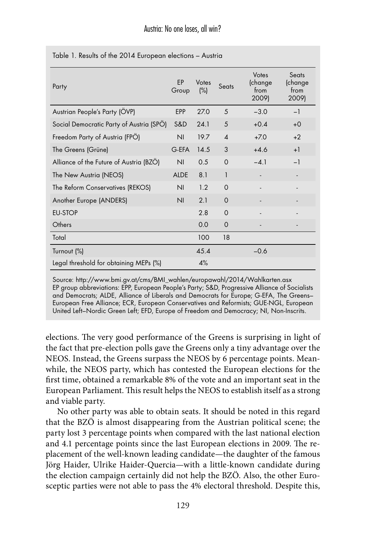| Party                                    | FP<br>Group    | Votes<br>(%) | Seats                  | Votes<br>(change<br>from<br>2009) | Seats<br>(change<br>from<br>2009) |
|------------------------------------------|----------------|--------------|------------------------|-----------------------------------|-----------------------------------|
| Austrian People's Party (OVP)            | <b>EPP</b>     | 27.0         | 5                      | $-3.0$                            | $-1$                              |
| Social Democratic Party of Austria (SPÖ) | S&D            | 24.1         | 5                      | $+0.4$                            | $+0$                              |
| Freedom Party of Austria (FPO)           | N <sub>1</sub> | 19.7         | $\boldsymbol{\Lambda}$ | $+70$                             | $+2$                              |
| The Greens (Grüne)                       | G-EFA          | 14.5         | 3                      | $+4.6$                            | $+1$                              |
| Alliance of the Future of Austria (BZO)  | N <sub>l</sub> | 0.5          | $\Omega$               | $-4.1$                            | $-1$                              |
| The New Austria (NEOS)                   | <b>ALDE</b>    | 8.1          | $\mathbf{1}$           |                                   |                                   |
| The Reform Conservatives (REKOS)         | N <sub>1</sub> | 12           | $\Omega$               |                                   |                                   |
| Another Europe (ANDERS)                  | N <sub>l</sub> | 2.1          | $\Omega$               |                                   |                                   |
| <b>EU-STOP</b>                           |                | 2.8          | $\Omega$               |                                   |                                   |
| Others                                   |                | 0.0          | $\Omega$               |                                   |                                   |
| Total                                    |                | 100          | 18                     |                                   |                                   |
| Turnout (%)                              |                | 45.4         |                        | $-0.6$                            |                                   |
| Legal threshold for obtaining MEPs (%)   |                | 4%           |                        |                                   |                                   |

Table 1. Results of the 2014 European elections – Austria

Source: http://www.bmi.gv.at/cms/BMI\_wahlen/europawahl/2014/Wahlkarten.asx EP group abbreviations: EPP, European People's Party; S&D, Progressive Alliance of Socialists and Democrats; ALDE, Alliance of Liberals and Democrats for Europe; G-EFA, The Greens– European Free Alliance; ECR, European Conservatives and Reformists; GUE-NGL, European United Left–Nordic Green Left; EFD, Europe of Freedom and Democracy; NI, Non-Inscrits.

elections. The very good performance of the Greens is surprising in light of the fact that pre-election polls gave the Greens only a tiny advantage over the NEOS. Instead, the Greens surpass the NEOS by 6 percentage points. Meanwhile, the NEOS party, which has contested the European elections for the first time, obtained a remarkable 8% of the vote and an important seat in the European Parliament. This result helps the NEOS to establish itself as a strong and viable party.

No other party was able to obtain seats. It should be noted in this regard that the BZÖ is almost disappearing from the Austrian political scene; the party lost 3 percentage points when compared with the last national election and 4.1 percentage points since the last European elections in 2009. The replacement of the well-known leading candidate—the daughter of the famous Jörg Haider, Ulrike Haider-Quercia—with a little-known candidate during the election campaign certainly did not help the BZÖ. Also, the other Eurosceptic parties were not able to pass the 4% electoral threshold. Despite this,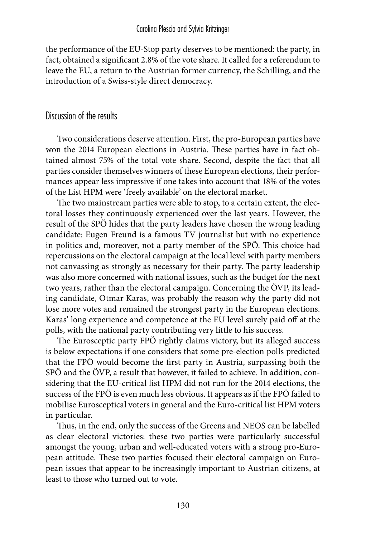the performance of the EU-Stop party deserves to be mentioned: the party, in fact, obtained a significant 2.8% of the vote share. It called for a referendum to leave the EU, a return to the Austrian former currency, the Schilling, and the introduction of a Swiss-style direct democracy.

### Discussion of the results

Two considerations deserve attention. First, the pro-European parties have won the 2014 European elections in Austria. These parties have in fact obtained almost 75% of the total vote share. Second, despite the fact that all parties consider themselves winners of these European elections, their performances appear less impressive if one takes into account that 18% of the votes of the List HPM were 'freely available' on the electoral market.

The two mainstream parties were able to stop, to a certain extent, the electoral losses they continuously experienced over the last years. However, the result of the SPÖ hides that the party leaders have chosen the wrong leading candidate: Eugen Freund is a famous TV journalist but with no experience in politics and, moreover, not a party member of the SPÖ. This choice had repercussions on the electoral campaign at the local level with party members not canvassing as strongly as necessary for their party. The party leadership was also more concerned with national issues, such as the budget for the next two years, rather than the electoral campaign. Concerning the ÖVP, its leading candidate, Otmar Karas, was probably the reason why the party did not lose more votes and remained the strongest party in the European elections. Karas' long experience and competence at the EU level surely paid off at the polls, with the national party contributing very little to his success.

The Eurosceptic party FPÖ rightly claims victory, but its alleged success is below expectations if one considers that some pre-election polls predicted that the FPÖ would become the first party in Austria, surpassing both the SPÖ and the ÖVP, a result that however, it failed to achieve. In addition, considering that the EU-critical list HPM did not run for the 2014 elections, the success of the FPÖ is even much less obvious. It appears as if the FPÖ failed to mobilise Eurosceptical voters in general and the Euro-critical list HPM voters in particular.

Thus, in the end, only the success of the Greens and NEOS can be labelled as clear electoral victories: these two parties were particularly successful amongst the young, urban and well-educated voters with a strong pro-European attitude. These two parties focused their electoral campaign on European issues that appear to be increasingly important to Austrian citizens, at least to those who turned out to vote.